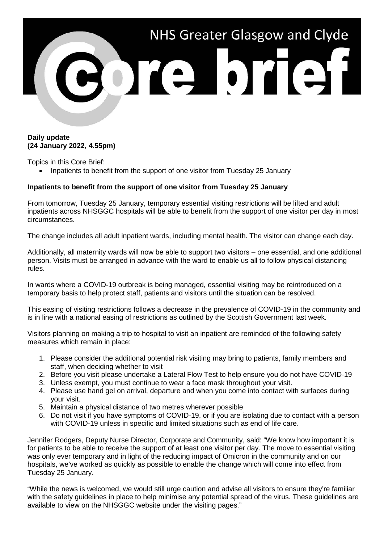

## **Daily update (24 January 2022, 4.55pm)**

Topics in this Core Brief:

• Inpatients to benefit from the support of one visitor from Tuesday 25 January

## **Inpatients to benefit from the support of one visitor from Tuesday 25 January**

From tomorrow, Tuesday 25 January, temporary essential visiting restrictions will be lifted and adult inpatients across NHSGGC hospitals will be able to benefit from the support of one visitor per day in most circumstances.

The change includes all adult inpatient wards, including mental health. The visitor can change each day.

Additionally, all maternity wards will now be able to support two visitors – one essential, and one additional person. Visits must be arranged in advance with the ward to enable us all to follow physical distancing rules.

In wards where a COVID-19 outbreak is being managed, essential visiting may be reintroduced on a temporary basis to help protect staff, patients and visitors until the situation can be resolved.

This easing of visiting restrictions follows a decrease in the prevalence of COVID-19 in the community and is in line with a national easing of restrictions as outlined by the Scottish Government last week.

Visitors planning on making a trip to hospital to visit an inpatient are reminded of the following safety measures which remain in place:

- 1. Please consider the additional potential risk visiting may bring to patients, family members and staff, when deciding whether to visit
- 2. Before you visit please undertake a Lateral Flow Test to help ensure you do not have COVID-19
- 3. Unless exempt, you must continue to wear a face mask throughout your visit.
- 4. Please use hand gel on arrival, departure and when you come into contact with surfaces during your visit.
- 5. Maintain a physical distance of two metres wherever possible
- 6. Do not visit if you have symptoms of COVID-19, or if you are isolating due to contact with a person with COVID-19 unless in specific and limited situations such as end of life care.

Jennifer Rodgers, Deputy Nurse Director, Corporate and Community, said: "We know how important it is for patients to be able to receive the support of at least one visitor per day. The move to essential visiting was only ever temporary and in light of the reducing impact of Omicron in the community and on our hospitals, we've worked as quickly as possible to enable the change which will come into effect from Tuesday 25 January.

"While the news is welcomed, we would still urge caution and advise all visitors to ensure they're familiar with the safety guidelines in place to help minimise any potential spread of the virus. These guidelines are available to view on the NHSGGC website under the visiting pages."